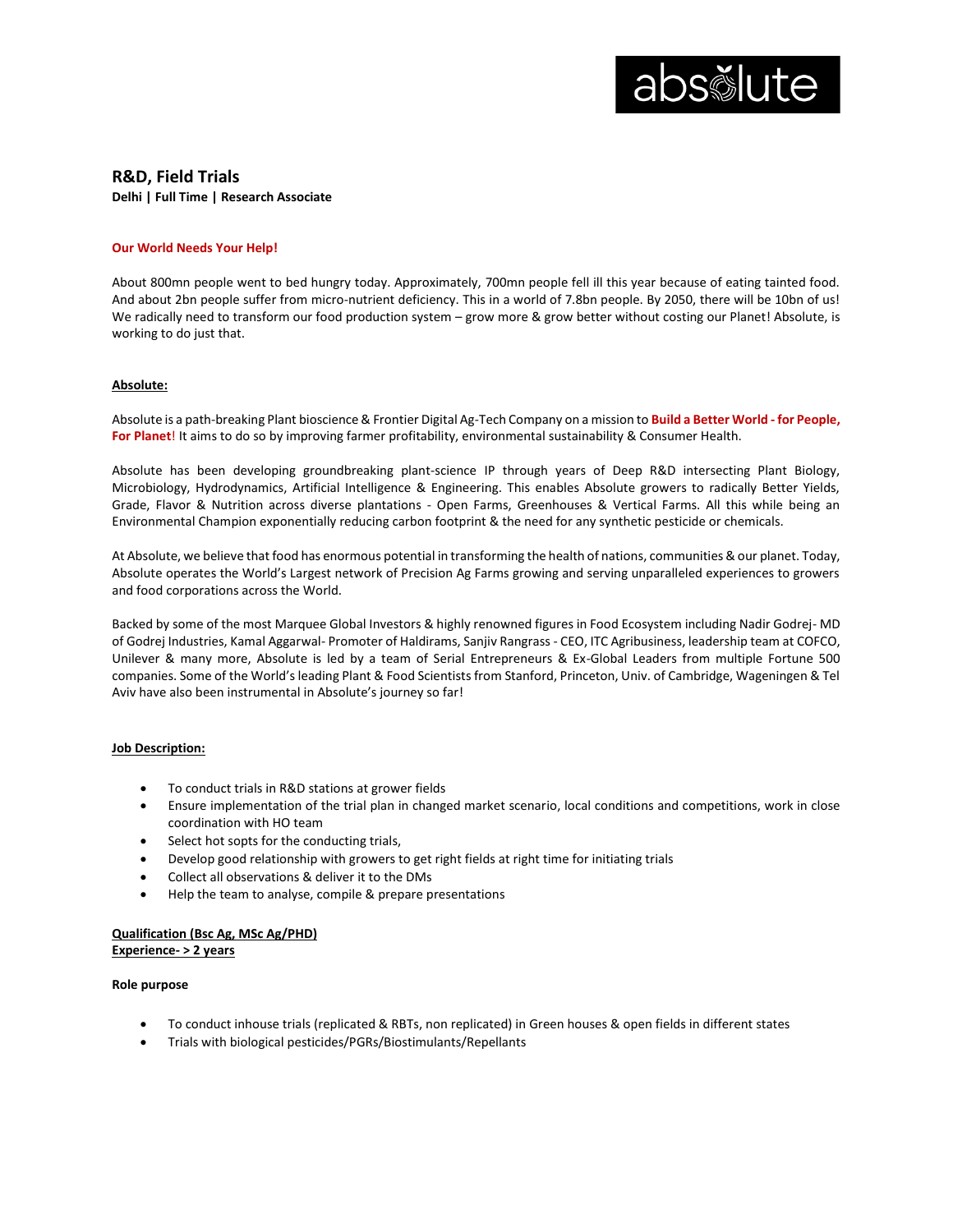

# **R&D, Field Trials Delhi | Full Time | Research Associate**

#### **Our World Needs Your Help!**

About 800mn people went to bed hungry today. Approximately, 700mn people fell ill this year because of eating tainted food. And about 2bn people suffer from micro-nutrient deficiency. This in a world of 7.8bn people. By 2050, there will be 10bn of us! We radically need to transform our food production system – grow more & grow better without costing our Planet! Absolute, is working to do just that.

#### **Absolute:**

Absolute is a path-breaking Plant bioscience & Frontier Digital Ag-Tech Company on a mission to **Build a Better World - for People, For Planet**! It aims to do so by improving farmer profitability, environmental sustainability & Consumer Health.

Absolute has been developing groundbreaking plant-science IP through years of Deep R&D intersecting Plant Biology, Microbiology, Hydrodynamics, Artificial Intelligence & Engineering. This enables Absolute growers to radically Better Yields, Grade, Flavor & Nutrition across diverse plantations - Open Farms, Greenhouses & Vertical Farms. All this while being an Environmental Champion exponentially reducing carbon footprint & the need for any synthetic pesticide or chemicals.

At Absolute, we believe that food has enormous potential in transforming the health of nations, communities & our planet. Today, Absolute operates the World's Largest network of Precision Ag Farms growing and serving unparalleled experiences to growers and food corporations across the World.

Backed by some of the most Marquee Global Investors & highly renowned figures in Food Ecosystem including Nadir Godrej- MD of Godrej Industries, Kamal Aggarwal- Promoter of Haldirams, Sanjiv Rangrass - CEO, ITC Agribusiness, leadership team at COFCO, Unilever & many more, Absolute is led by a team of Serial Entrepreneurs & Ex-Global Leaders from multiple Fortune 500 companies. Some of the World's leading Plant & Food Scientists from Stanford, Princeton, Univ. of Cambridge, Wageningen & Tel Aviv have also been instrumental in Absolute's journey so far!

#### **Job Description:**

- To conduct trials in R&D stations at grower fields
- Ensure implementation of the trial plan in changed market scenario, local conditions and competitions, work in close coordination with HO team
- Select hot sopts for the conducting trials,
- Develop good relationship with growers to get right fields at right time for initiating trials
- Collect all observations & deliver it to the DMs
- Help the team to analyse, compile & prepare presentations

## **Qualification (Bsc Ag, MSc Ag/PHD) Experience- > 2 years**

### **Role purpose**

- To conduct inhouse trials (replicated & RBTs, non replicated) in Green houses & open fields in different states
- Trials with biological pesticides/PGRs/Biostimulants/Repellants